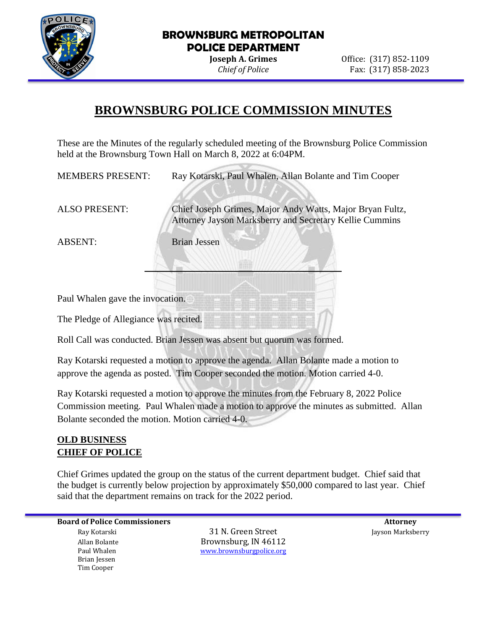

**Joseph A. Grimes Office:** (317) 852-1109 *Chief of Police* Fax: (317) 858-2023

# **BROWNSBURG POLICE COMMISSION MINUTES**

These are the Minutes of the regularly scheduled meeting of the Brownsburg Police Commission held at the Brownsburg Town Hall on March 8, 2022 at 6:04PM.

**\_\_\_\_\_\_\_\_\_\_\_\_\_\_\_\_\_\_\_** 

MEMBERS PRESENT: Ray Kotarski, Paul Whalen, Allan Bolante and Tim Cooper

ALSO PRESENT: Chief Joseph Grimes, Major Andy Watts, Major Bryan Fultz, Attorney Jayson Marksberry and Secretary Kellie Cummins

ABSENT: Brian Jessen

Paul Whalen gave the invocation.

The Pledge of Allegiance was recited.

Roll Call was conducted. Brian Jessen was absent but quorum was formed.

Ray Kotarski requested a motion to approve the agenda. Allan Bolante made a motion to approve the agenda as posted. Tim Cooper seconded the motion. Motion carried 4-0.

Ray Kotarski requested a motion to approve the minutes from the February 8, 2022 Police Commission meeting. Paul Whalen made a motion to approve the minutes as submitted. Allan Bolante seconded the motion. Motion carried 4-0.

## **OLD BUSINESS CHIEF OF POLICE**

Chief Grimes updated the group on the status of the current department budget. Chief said that the budget is currently below projection by approximately \$50,000 compared to last year. Chief said that the department remains on track for the 2022 period.

**Board of Police Commissioners Attorney Attorney Attorney Attorney Attorney Attorney Attorney Attorney Attorney**  Brian Jessen Tim Cooper

 Ray Kotarski 31 N. Green Street Jayson Marksberry Allan Bolante Brownsburg, IN 46112 Paul Whalen [www.brownsburgpolice.org](http://www.brownsburgpolice.org/)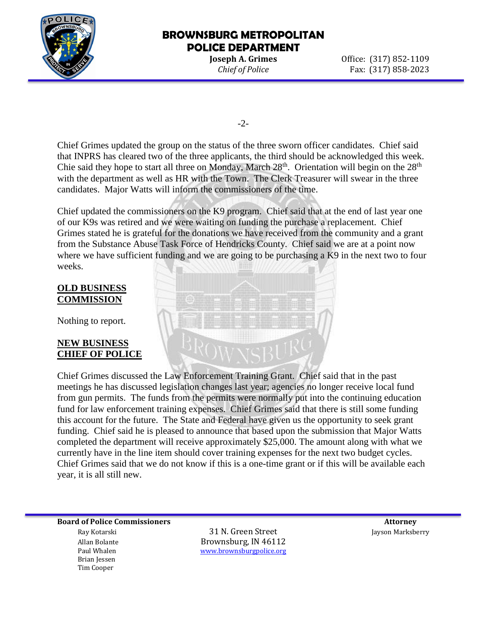

**Joseph A. Grimes Office:** (317) 852-1109 *Chief of Police* Fax: (317) 858-2023

-2-

Chief Grimes updated the group on the status of the three sworn officer candidates. Chief said that INPRS has cleared two of the three applicants, the third should be acknowledged this week. Chie said they hope to start all three on Monday, March  $28<sup>th</sup>$ . Orientation will begin on the  $28<sup>th</sup>$ with the department as well as HR with the Town. The Clerk Treasurer will swear in the three candidates. Major Watts will inform the commissioners of the time.

Chief updated the commissioners on the K9 program. Chief said that at the end of last year one of our K9s was retired and we were waiting on funding the purchase a replacement. Chief Grimes stated he is grateful for the donations we have received from the community and a grant from the Substance Abuse Task Force of Hendricks County. Chief said we are at a point now where we have sufficient funding and we are going to be purchasing a K9 in the next two to four weeks.

#### **OLD BUSINESS COMMISSION**

Nothing to report.

#### **NEW BUSINESS CHIEF OF POLICE**



Chief Grimes discussed the Law Enforcement Training Grant. Chief said that in the past meetings he has discussed legislation changes last year; agencies no longer receive local fund from gun permits. The funds from the permits were normally put into the continuing education fund for law enforcement training expenses. Chief Grimes said that there is still some funding this account for the future. The State and Federal have given us the opportunity to seek grant funding. Chief said he is pleased to announce that based upon the submission that Major Watts completed the department will receive approximately \$25,000. The amount along with what we currently have in the line item should cover training expenses for the next two budget cycles. Chief Grimes said that we do not know if this is a one-time grant or if this will be available each year, it is all still new.

**Board of Police Commissioners** and the set of the set of the set of the set of the set of the set of the set of the set of the set of the set of the set of the set of the set of the set of the set of the set of the set of Ray Kotarski 31 N. Green Street Jayson Marksberry Allan Bolante Brownsburg, IN 46112 Paul Whalen [www.brownsburgpolice.org](http://www.brownsburgpolice.org/) Brian Jessen Tim Cooper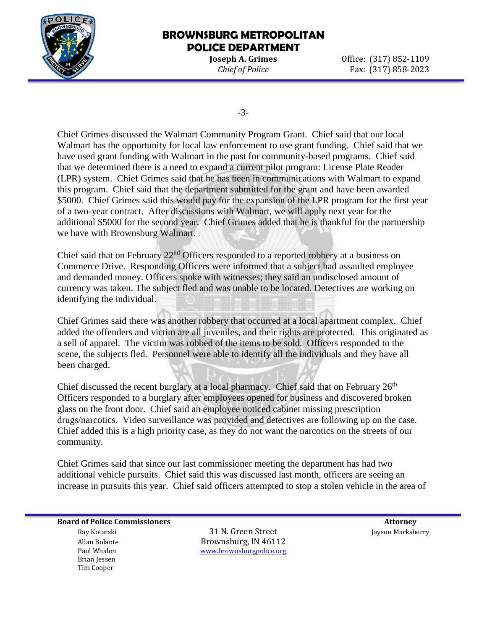

**Joseph A. Grimes Office:** (317) 852-1109 *Chief of Police* Fax: (317) 858-2023

-3-

Chief Grimes discussed the Walmart Community Program Grant. Chief said that our local Walmart has the opportunity for local law enforcement to use grant funding. Chief said that we have used grant funding with Walmart in the past for community-based programs. Chief said that we determined there is a need to expand a current pilot program: License Plate Reader (LPR) system. Chief Grimes said that he has been in communications with Walmart to expand this program. Chief said that the department submitted for the grant and have been awarded \$5000. Chief Grimes said this would pay for the expansion of the LPR program for the first year of a two-year contract. After discussions with Walmart, we will apply next year for the additional \$5000 for the second year. Chief Grimes added that he is thankful for the partnership we have with Brownsburg Walmart.

Chief said that on February 22<sup>nd</sup> Officers responded to a reported robbery at a business on Commerce Drive. Responding Officers were informed that a subject had assaulted employee and demanded money. Officers spoke with witnesses; they said an undisclosed amount of currency was taken. The subject fled and was unable to be located. Detectives are working on identifying the individual.

Chief Grimes said there was another robbery that occurred at a local apartment complex. Chief added the offenders and victim are all juveniles, and their rights are protected. This originated as a sell of apparel. The victim was robbed of the items to be sold. Officers responded to the scene, the subjects fled. Personnel were able to identify all the individuals and they have all been charged.

Chief discussed the recent burglary at a local pharmacy. Chief said that on February  $26<sup>th</sup>$ Officers responded to a burglary after employees opened for business and discovered broken glass on the front door. Chief said an employee noticed cabinet missing prescription drugs/narcotics. Video surveillance was provided and detectives are following up on the case. Chief added this is a high priority case, as they do not want the narcotics on the streets of our community.

Chief Grimes said that since our last commissioner meeting the department has had two additional vehicle pursuits. Chief said this was discussed last month, officers are seeing an increase in pursuits this year. Chief said officers attempted to stop a stolen vehicle in the area of

**Board of Police Commissioners** and the set of the set of the set of the set of the set of the set of the set of the set of the set of the set of the set of the set of the set of the set of the set of the set of the set of Ray Kotarski 31 N. Green Street Jayson Marksberry Allan Bolante Brownsburg, IN 46112

 Brian Jessen Tim Cooper

Paul Whalen [www.brownsburgpolice.org](http://www.brownsburgpolice.org/)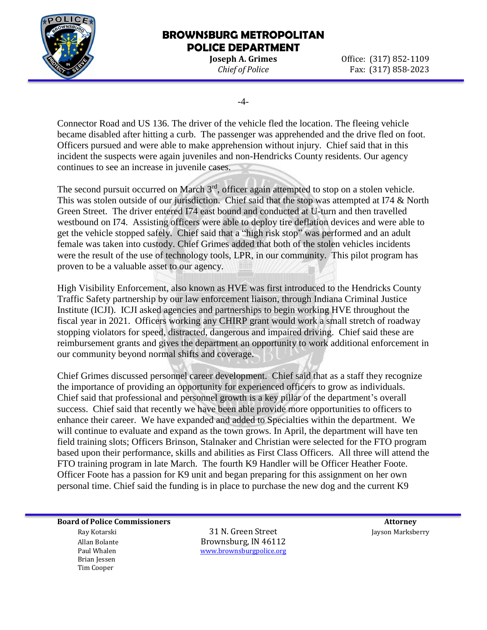

**Joseph A. Grimes Office:** (317) 852-1109 *Chief of Police* Fax: (317) 858-2023

-4-

Connector Road and US 136. The driver of the vehicle fled the location. The fleeing vehicle became disabled after hitting a curb. The passenger was apprehended and the drive fled on foot. Officers pursued and were able to make apprehension without injury. Chief said that in this incident the suspects were again juveniles and non-Hendricks County residents. Our agency continues to see an increase in juvenile cases.

The second pursuit occurred on March 3<sup>rd</sup>, officer again attempted to stop on a stolen vehicle. This was stolen outside of our jurisdiction. Chief said that the stop was attempted at I74 & North Green Street. The driver entered I74 east bound and conducted at U-turn and then travelled westbound on I74. Assisting officers were able to deploy tire deflation devices and were able to get the vehicle stopped safely. Chief said that a "high risk stop" was performed and an adult female was taken into custody. Chief Grimes added that both of the stolen vehicles incidents were the result of the use of technology tools, LPR, in our community. This pilot program has proven to be a valuable asset to our agency.

High Visibility Enforcement, also known as HVE was first introduced to the Hendricks County Traffic Safety partnership by our law enforcement liaison, through Indiana Criminal Justice Institute (ICJI). ICJI asked agencies and partnerships to begin working HVE throughout the fiscal year in 2021. Officers working any CHIRP grant would work a small stretch of roadway stopping violators for speed, distracted, dangerous and impaired driving. Chief said these are reimbursement grants and gives the department an opportunity to work additional enforcement in our community beyond normal shifts and coverage.

Chief Grimes discussed personnel career development. Chief said that as a staff they recognize the importance of providing an opportunity for experienced officers to grow as individuals. Chief said that professional and personnel growth is a key pillar of the department's overall success. Chief said that recently we have been able provide more opportunities to officers to enhance their career. We have expanded and added to Specialties within the department. We will continue to evaluate and expand as the town grows. In April, the department will have ten field training slots; Officers Brinson, Stalnaker and Christian were selected for the FTO program based upon their performance, skills and abilities as First Class Officers. All three will attend the FTO training program in late March. The fourth K9 Handler will be Officer Heather Foote. Officer Foote has a passion for K9 unit and began preparing for this assignment on her own personal time. Chief said the funding is in place to purchase the new dog and the current K9

**Board of Police Commissioners** and the set of the set of the set of the set of the set of the set of the set of the set of the set of the set of the set of the set of the set of the set of the set of the set of the set of Ray Kotarski 31 N. Green Street Jayson Marksberry

 Brian Jessen Tim Cooper

Allan Bolante Brownsburg, IN 46112 Paul Whalen [www.brownsburgpolice.org](http://www.brownsburgpolice.org/)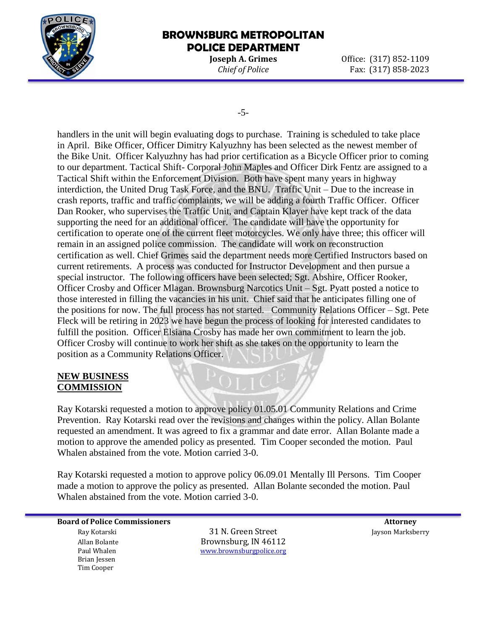

**Joseph A. Grimes Office:** (317) 852-1109 *Chief of Police* Fax: (317) 858-2023

-5-

handlers in the unit will begin evaluating dogs to purchase. Training is scheduled to take place in April. Bike Officer, Officer Dimitry Kalyuzhny has been selected as the newest member of the Bike Unit. Officer Kalyuzhny has had prior certification as a Bicycle Officer prior to coming to our department. Tactical Shift- Corporal John Maples and Officer Dirk Fentz are assigned to a Tactical Shift within the Enforcement Division. Both have spent many years in highway interdiction, the United Drug Task Force, and the BNU. Traffic Unit – Due to the increase in crash reports, traffic and traffic complaints, we will be adding a fourth Traffic Officer. Officer Dan Rooker, who supervises the Traffic Unit, and Captain Klayer have kept track of the data supporting the need for an additional officer. The candidate will have the opportunity for certification to operate one of the current fleet motorcycles. We only have three; this officer will remain in an assigned police commission. The candidate will work on reconstruction certification as well. Chief Grimes said the department needs more Certified Instructors based on current retirements. A process was conducted for Instructor Development and then pursue a special instructor. The following officers have been selected; Sgt. Abshire, Officer Rooker, Officer Crosby and Officer Mlagan. Brownsburg Narcotics Unit – Sgt. Pyatt posted a notice to those interested in filling the vacancies in his unit. Chief said that he anticipates filling one of the positions for now. The full process has not started. Community Relations Officer – Sgt. Pete Fleck will be retiring in 2023 we have begun the process of looking for interested candidates to fulfill the position. Officer Elsiana Crosby has made her own commitment to learn the job. Officer Crosby will continue to work her shift as she takes on the opportunity to learn the position as a Community Relations Officer.

#### **NEW BUSINESS COMMISSION**

Ray Kotarski requested a motion to approve policy 01.05.01 Community Relations and Crime Prevention. Ray Kotarski read over the revisions and changes within the policy. Allan Bolante requested an amendment. It was agreed to fix a grammar and date error. Allan Bolante made a motion to approve the amended policy as presented. Tim Cooper seconded the motion. Paul Whalen abstained from the vote. Motion carried 3-0.

Ray Kotarski requested a motion to approve policy 06.09.01 Mentally Ill Persons. Tim Cooper made a motion to approve the policy as presented. Allan Bolante seconded the motion. Paul Whalen abstained from the vote. Motion carried 3-0.

**Board of Police Commissioners** and the set of the set of the set of the set of the set of the set of the set of the set of the set of the set of the set of the set of the set of the set of the set of the set of the set of

 Brian Jessen Tim Cooper

 Ray Kotarski 31 N. Green Street Jayson Marksberry Allan Bolante **Brownsburg, IN 46112** Paul Whalen [www.brownsburgpolice.org](http://www.brownsburgpolice.org/)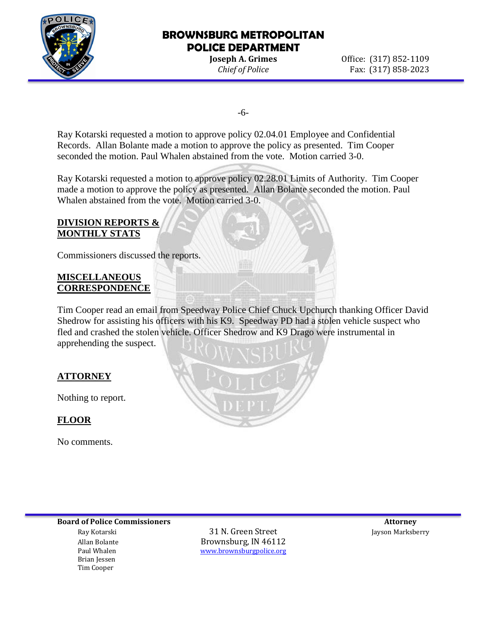

**Joseph A. Grimes Office:** (317) 852-1109 *Chief of Police* Fax: (317) 858-2023

-6-

Ray Kotarski requested a motion to approve policy 02.04.01 Employee and Confidential Records. Allan Bolante made a motion to approve the policy as presented. Tim Cooper seconded the motion. Paul Whalen abstained from the vote. Motion carried 3-0.

Ray Kotarski requested a motion to approve policy 02.28.01 Limits of Authority. Tim Cooper made a motion to approve the policy as presented. Allan Bolante seconded the motion. Paul Whalen abstained from the vote. Motion carried 3-0.

#### **DIVISION REPORTS & MONTHLY STATS**

Commissioners discussed the reports.

### **MISCELLANEOUS CORRESPONDENCE**

Tim Cooper read an email from Speedway Police Chief Chuck Upchurch thanking Officer David Shedrow for assisting his officers with his K9. Speedway PD had a stolen vehicle suspect who fled and crashed the stolen vehicle. Officer Shedrow and K9 Drago were instrumental in apprehending the suspect.

## **ATTORNEY**

Nothing to report.

## **FLOOR**

No comments.



**Board of Police Commissioners Attorney Attorney Attorney Attorney Attorney Attorney Attorney Attorney Attorney** 

 Brian Jessen Tim Cooper

 Ray Kotarski 31 N. Green Street Jayson Marksberry Allan Bolante **Brownsburg, IN 46112**<br>
Paul Whalen **Brownsburg and Health West Article** Contract Press, and Museum Contract Press, and Museum Contract<br> **Brownsburg and Museum Contract Press, and Museum Contract Press**, and [www.brownsburgpolice.org](http://www.brownsburgpolice.org/)